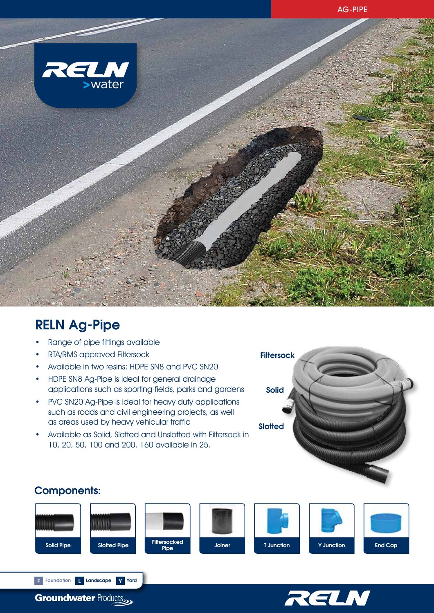

# RELN Ag-Pipe

- Range of pipe fittings available
- RTA/RMS approved Filtersock
- Available in two resins: HDPE SN8 and PVC SN20
- HDPE SN8 Ag-Pipe is ideal for general drainage applications such as sporting fields, parks and gardens
- PVC SN20 Ag-Pipe is ideal for heavy duty applications such as roads and civil engineering projects, as well as areas used by heavy vehicular traffic
- Available as Solid, Slotted and Unslotted with Filtersock in 10, 20, 50, 100 and 200. 160 available in 25.



## Components:





**Groundwater Products** 

F Foundation L Landscape Y Yard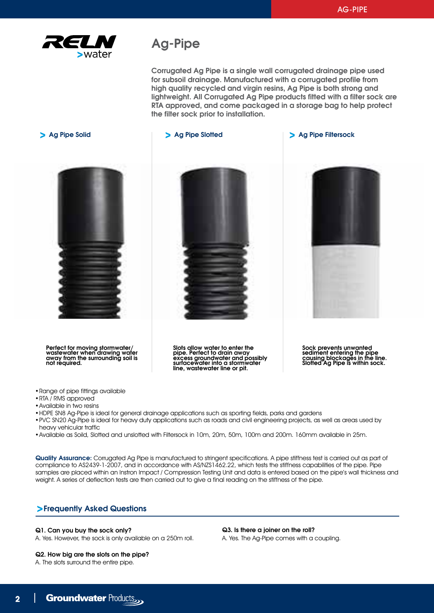

# Ag-Pipe

Corrugated Ag Pipe is a single wall corrugated drainage pipe used for subsoil drainage. Manufactured with a corrugated profile from high quality recycled and virgin resins, Ag Pipe is both strong and lightweight. All Corrugated Ag Pipe products fitted with a filter sock are RTA approved, and come packaged in a storage bag to help protect the filter sock prior to installation.

Perfect for moving stormwater/ wastewater when drawing water away from the surrounding soil is not required.

Slots allow water to enter the pipe. Perfect to drain away excess groundwater and possibly surfacewater into a stormwater line, wastewater line or pit.

> Ag Pipe Solid Ag Pipe Solid Ag Pipe Solid Ag Pipe Filtersock



Sock prevents unwanted sediment entering the pipe causing blockages in the line. Slotted Ag Pipe is within sock.

•Range of pipe fittings available

- •RTA / RMS approved
- •Available in two resins
- •HDPE SN8 Ag-Pipe is ideal for general drainage applications such as sporting fields, parks and gardens
- •PVC SN20 Ag-Pipe is ideal for heavy duty applications such as roads and civil engineering projects, as well as areas used by heavy vehicular traffic
- •Available as Soild, Slotted and unslotted with Filtersock in 10m, 20m, 50m, 100m and 200m. 160mm available in 25m.

Quality Assurance: Corrugated Ag Pipe is manufactured to stringent specifications. A pipe stiffness test is carried out as part of compliance to AS2439-1-2007, and in accordance with AS/NZS1462.22, which tests the stiffness capabilities of the pipe. Pipe samples are placed within an Instron Impact / Compression Testing Unit and data is entered based on the pipe's wall thickness and weight. A series of deflection tests are then carried out to give a final reading on the stiffness of the pipe.

## Frequently Asked Questions

### Q1. Can you buy the sock only?

A. Yes. However, the sock is only available on a 250m roll.

## Q2. How big are the slots on the pipe?

A. The slots surround the entire pipe.

Q3. Is there a joiner on the roll? A. Yes. The Ag-Pipe comes with a coupling.